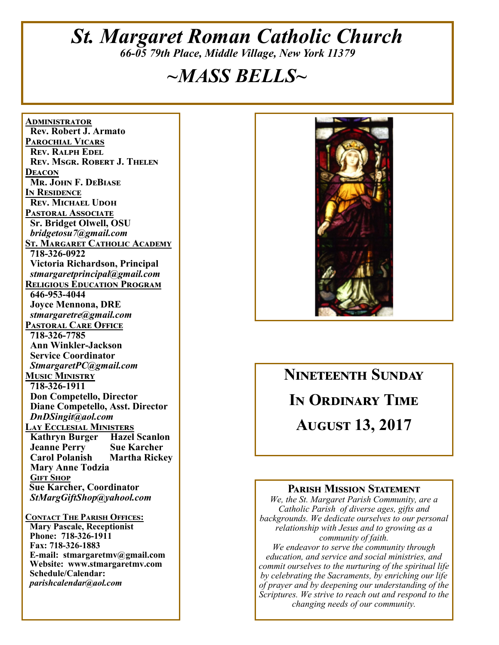### *St. Margaret Roman Catholic Church 66-05 79th Place, Middle Village, New York 11379*

### *~MASS BELLS~*

**<u>ADMINISTRATOR</u> Rev. Robert J. Armato PAROCHIAL VICARS REV. RALPH EDEL REV. MSGR. ROBERT J. THELEN DEACON Mr. John F. DeBiase I**N RESIDENCE **REV. MICHAEL UDOH PASTORAL ASSOCIATE Sr. Bridget Olwell, OSU**   *bridgetosu7@gmail.com*  <u>St. Margaret Catholic Academy</u>  **718-326-0922 Victoria Richardson, Principal**   *stmargaretprincipal@gmail.com*  **RELIGIOUS EDUCATION PROGRAM 646-953-4044 Joyce Mennona, DRE** *stmargaretre@gmail.com*  **PASTORAL CARE OFFICE 718-326-7785 Ann Winkler-Jackson Service Coordinator** *StmargaretPC@gmail.com*  **MUSIC MINISTRY 718-326-1911 Don Competello, Director Diane Competello, Asst. Director** *DnDSingit@aol.com*  **LAY ECCLESIAL MINISTERS**<br>**Kathryn Burger** Hazel Scanlon **Kathryn Burger Jeanne Perry Sue Karcher Martha Rickey Mary Anne Todzia GIFT SHOP Sue Karcher, Coordinator** *StMargGiftShop@yahool.com*  **CONTACT THE PARISH OFFICES:** 

 **Mary Pascale, Receptionist Phone: 718-326-1911 Fax: 718-326-1883 E-mail: stmargaretmv@gmail.com Website: www.stmargaretmv.com Schedule/Calendar:** *parishcalendar@aol.com* 



## **NINETEENTH SUNDAY IN ORDINARY TIME AUGUST 13, 2017**

#### **PARISH MISSION STATEMENT**

*We, the St. Margaret Parish Community, are a Catholic Parish of diverse ages, gifts and backgrounds. We dedicate ourselves to our personal relationship with Jesus and to growing as a community of faith. We endeavor to serve the community through education, and service and social ministries, and commit ourselves to the nurturing of the spiritual life by celebrating the Sacraments, by enriching our life of prayer and by deepening our understanding of the* 

*Scriptures. We strive to reach out and respond to the changing needs of our community.*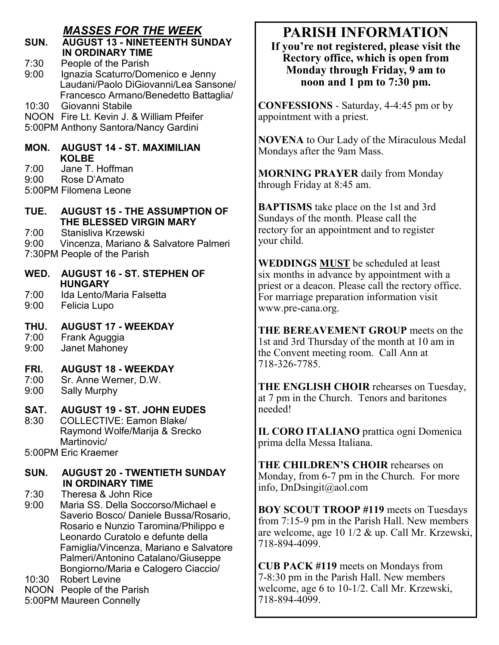### *MASSES FOR THE WEEK*

#### **SUN. AUGUST 13 - NINETEENTH SUNDAY IN ORDINARY TIME**

7:30 People of the Parish<br>9:00 Ignazia Scaturro/Don

Ignazia Scaturro/Domenico e Jenny Laudani/Paolo DiGiovanni/Lea Sansone/ Francesco Armano/Benedetto Battaglia/

10:30 Giovanni Stabile

NOON Fire Lt. Kevin J. & William Pfeifer 5:00PM Anthony Santora/Nancy Gardini

### **MON. AUGUST 14 - ST. MAXIMILIAN KOLBE**

7:00 Jane T. Hoffman

- 9:00 Rose D'Amato
- 5:00PM Filomena Leone

#### **TUE. AUGUST 15 - THE ASSUMPTION OF THE BLESSED VIRGIN MARY**

- 7:00 Stanisliva Krzewski
- 9:00 Vincenza, Mariano & Salvatore Palmeri
- 7:30PM People of the Parish
- **WED. AUGUST 16 ST. STEPHEN OF HUNGARY**
- 7:00 Ida Lento/Maria Falsetta
- 9:00 Felicia Lupo

### **THU. AUGUST 17 - WEEKDAY**

7:00 Frank Aguggia<br>9:00 Janet Mahoney

Janet Mahoney

### **FRI. AUGUST 18 - WEEKDAY**

- 7:00 Sr. Anne Werner, D.W.<br>9:00 Sally Murphy
- Sally Murphy

### **SAT. AUGUST 19 - ST. JOHN EUDES**

8:30 COLLECTIVE: Eamon Blake/ Raymond Wolfe/Marija & Srecko Martinovic/

5:00PM Eric Kraemer

### **SUN. AUGUST 20 - TWENTIETH SUNDAY IN ORDINARY TIME**

7:30 Theresa & John Rice

Maria SS. Della Soccorso/Michael e Saverio Bosco/ Daniele Bussa/Rosario, Rosario e Nunzio Taromina/Philippo e Leonardo Curatolo e defunte della Famiglia/Vincenza, Mariano e Salvatore Palmeri/Antonino Catalano/Giuseppe Bongiorno/Maria e Calogero Ciaccio/

10:30 Robert Levine

NOON People of the Parish 5:00PM Maureen Connelly

**Monday through Friday, 9 am to noon and 1 pm to 7:30 pm.** 

> **CONFESSIONS** - Saturday, 4-4:45 pm or by appointment with a priest.

**NOVENA** to Our Lady of the Miraculous Medal Mondays after the 9am Mass.

**PARISH INFORMATION If you're not registered, please visit the Rectory office, which is open from** 

**MORNING PRAYER** daily from Monday through Friday at 8:45 am.

**BAPTISMS** take place on the 1st and 3rd Sundays of the month. Please call the rectory for an appointment and to register your child.

**WEDDINGS MUST** be scheduled at least six months in advance by appointment with a priest or a deacon. Please call the rectory office. For marriage preparation information visit www.pre-cana.org.

**THE BEREAVEMENT GROUP** meets on the 1st and 3rd Thursday of the month at 10 am in the Convent meeting room. Call Ann at 718-326-7785.

**THE ENGLISH CHOIR** rehearses on Tuesday, at 7 pm in the Church. Tenors and baritones needed!

**IL CORO ITALIANO** prattica ogni Domenica prima della Messa Italiana.

**THE CHILDREN'S CHOIR** rehearses on Monday, from 6-7 pm in the Church. For more info, DnDsingit@aol.com

**BOY SCOUT TROOP #119** meets on Tuesdays from 7:15-9 pm in the Parish Hall. New members are welcome, age 10 1/2 & up. Call Mr. Krzewski, 718-894-4099.

**CUB PACK #119** meets on Mondays from 7-8:30 pm in the Parish Hall. New members welcome, age 6 to 10-1/2. Call Mr. Krzewski, 718-894-4099.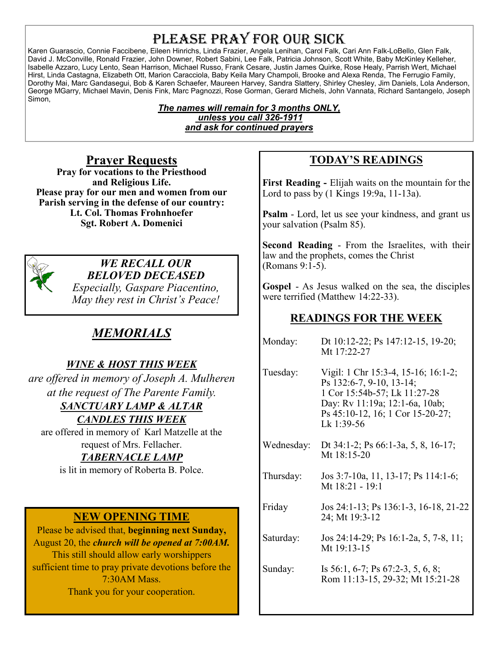### PLEASE PRAY FOR OUR SICK

Karen Guarascio, Connie Faccibene, Eileen Hinrichs, Linda Frazier, Angela Lenihan, Carol Falk, Cari Ann Falk-LoBello, Glen Falk, David J. McConville, Ronald Frazier, John Downer, Robert Sabini, Lee Falk, Patricia Johnson, Scott White, Baby McKinley Kelleher, Isabelle Azzaro, Lucy Lento, Sean Harrison, Michael Russo, Frank Cesare, Justin James Quirke, Rose Healy, Parrish Wert, Michael Hirst, Linda Castagna, Elizabeth Ott, Marion Caracciola, Baby Keila Mary Champoli, Brooke and Alexa Renda, The Ferrugio Family, Dorothy Mai, Marc Gandasegui, Bob & Karen Schaefer, Maureen Harvey, Sandra Slattery, Shirley Chesley, Jim Daniels, Lola Anderson, George MGarry, Michael Mavin, Denis Fink, Marc Pagnozzi, Rose Gorman, Gerard Michels, John Vannata, Richard Santangelo, Joseph Simon,

> *The names will remain for 3 months ONLY, unless you call 326-1911 and ask for continued prayers*

### **Prayer Requests**

**Pray for vocations to the Priesthood and Religious Life. Please pray for our men and women from our Parish serving in the defense of our country: Lt. Col. Thomas Frohnhoefer Sgt. Robert A. Domenici** 



#### *WE RECALL OUR BELOVED DECEASED*

*Especially, Gaspare Piacentino, May they rest in Christ's Peace!* 

### *MEMORIALS*

### *WINE & HOST THIS WEEK*

*are offered in memory of Joseph A. Mulheren at the request of The Parente Family.* 

### *SANCTUARY LAMP & ALTAR*

*CANDLES THIS WEEK* 

are offered in memory of Karl Matzelle at the request of Mrs. Fellacher.

### *TABERNACLE LAMP*

is lit in memory of Roberta B. Polce.

### **NEW OPENING TIME**

Please be advised that, **beginning next Sunday,**  August 20, the *church will be opened at 7:00AM.*  This still should allow early worshippers sufficient time to pray private devotions before the 7:30AM Mass. Thank you for your cooperation.

### **TODAY'S READINGS**

**First Reading -** Elijah waits on the mountain for the Lord to pass by (1 Kings 19:9a, 11-13a).

**Psalm** - Lord, let us see your kindness, and grant us your salvation (Psalm 85).

**Second Reading** - From the Israelites, with their law and the prophets, comes the Christ (Romans 9:1-5).

**Gospel** - As Jesus walked on the sea, the disciples were terrified (Matthew 14:22-33).

### **READINGS FOR THE WEEK**

| Dt 10:12-22; Ps 147:12-15, 19-20;<br>Mt 17:22-27                                                                                                                                    |
|-------------------------------------------------------------------------------------------------------------------------------------------------------------------------------------|
| Vigil: 1 Chr 15:3-4, 15-16; 16:1-2;<br>Ps 132:6-7, 9-10, 13-14;<br>1 Cor 15:54b-57; Lk 11:27-28<br>Day: Rv 11:19a; 12:1-6a, 10ab;<br>Ps 45:10-12, 16; 1 Cor 15-20-27;<br>Lk 1:39-56 |
| Dt 34:1-2; Ps 66:1-3a, 5, 8, 16-17;<br>Mt 18:15-20                                                                                                                                  |
| Jos 3:7-10a, 11, 13-17; Ps 114:1-6;<br>Mt 18:21 - 19:1                                                                                                                              |
| Jos 24:1-13; Ps 136:1-3, 16-18, 21-22<br>24; Mt 19:3-12                                                                                                                             |
| Jos 24:14-29; Ps 16:1-2a, 5, 7-8, 11;<br>Mt 19:13-15                                                                                                                                |
| Is $56:1, 6-7$ ; Ps $67:2-3, 5, 6, 8$ ;<br>Rom 11:13-15, 29-32; Mt 15:21-28                                                                                                         |
|                                                                                                                                                                                     |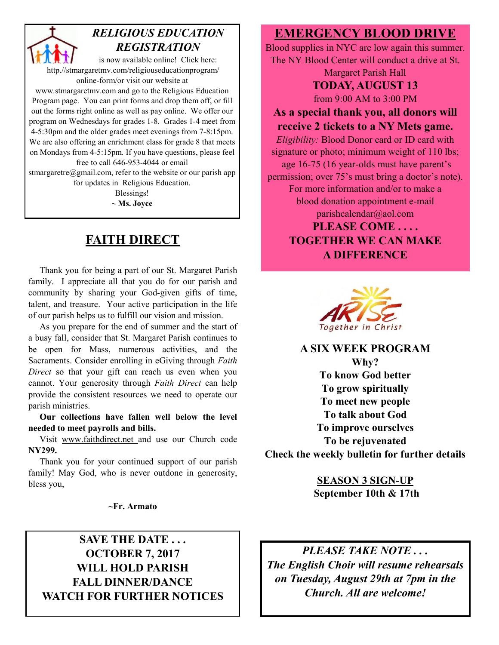### *RELIGIOUS EDUCATION REGISTRATION*

is now available online! Click here: http.//stmargaretmv.com/religiouseducationprogram/ online-form/or visit our website at

www.stmargaretmv.com and go to the Religious Education Program page. You can print forms and drop them off, or fill out the forms right online as well as pay online. We offer our program on Wednesdays for grades 1-8. Grades 1-4 meet from 4-5:30pm and the older grades meet evenings from 7-8:15pm. We are also offering an enrichment class for grade 8 that meets on Mondays from 4-5:15pm. If you have questions, please feel free to call 646-953-4044 or email

stmargaretre@gmail.com, refer to the website or our parish app for updates in Religious Education.

Blessings! **~ Ms. Joyce** 

### **FAITH DIRECT**

 Thank you for being a part of our St. Margaret Parish family. I appreciate all that you do for our parish and community by sharing your God-given gifts of time, talent, and treasure. Your active participation in the life of our parish helps us to fulfill our vision and mission.

 As you prepare for the end of summer and the start of a busy fall, consider that St. Margaret Parish continues to be open for Mass, numerous activities, and the Sacraments. Consider enrolling in eGiving through *Faith Direct* so that your gift can reach us even when you cannot. Your generosity through *Faith Direct* can help provide the consistent resources we need to operate our parish ministries.

 **Our collections have fallen well below the level needed to meet payrolls and bills.** 

 Visit www.faithdirect.net and use our Church code **NY299.** 

 Thank you for your continued support of our parish family! May God, who is never outdone in generosity, bless you,

**~Fr. Armato** 

### **SAVE THE DATE . . . OCTOBER 7, 2017 WILL HOLD PARISH FALL DINNER/DANCE WATCH FOR FURTHER NOTICES**

### **EMERGENCY BLOOD DRIVE**

Blood supplies in NYC are low again this summer. The NY Blood Center will conduct a drive at St. Margaret Parish Hall

### **TODAY, AUGUST 13**

from 9:00 AM to 3:00 PM

### **As a special thank you, all donors will receive 2 tickets to a NY Mets game.**

*Eligibility:* Blood Donor card or ID card with signature or photo; minimum weight of 110 lbs; age 16-75 (16 year-olds must have parent's permission; over 75's must bring a doctor's note). For more information and/or to make a blood donation appointment e-mail parishcalendar@aol.com **PLEASE COME . . . . TOGETHER WE CAN MAKE A DIFFERENCE** 



**A SIX WEEK PROGRAM** 

**Why? To know God better To grow spiritually To meet new people To talk about God To improve ourselves To be rejuvenated Check the weekly bulletin for further details** 

> **SEASON 3 SIGN-UP September 10th & 17th**

*PLEASE TAKE NOTE . . . The English Choir will resume rehearsals on Tuesday, August 29th at 7pm in the Church. All are welcome!*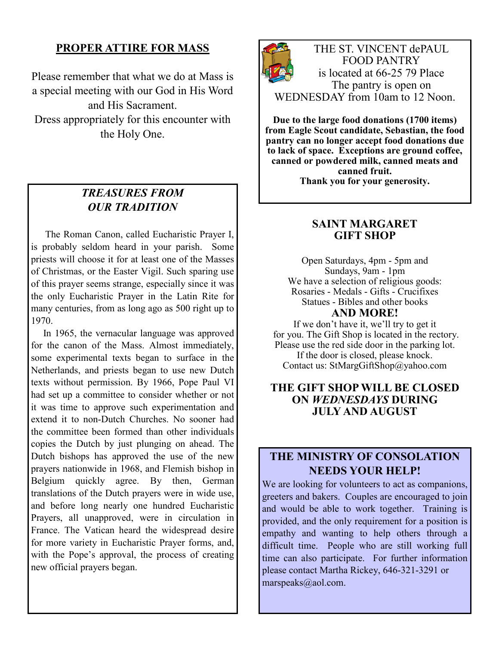### **PROPER ATTIRE FOR MASS**

Please remember that what we do at Mass is a special meeting with our God in His Word and His Sacrament. Dress appropriately for this encounter with the Holy One.

### *TREASURES FROM OUR TRADITION*

The Roman Canon, called Eucharistic Prayer I, is probably seldom heard in your parish. Some priests will choose it for at least one of the Masses of Christmas, or the Easter Vigil. Such sparing use of this prayer seems strange, especially since it was the only Eucharistic Prayer in the Latin Rite for many centuries, from as long ago as 500 right up to 1970.

 In 1965, the vernacular language was approved for the canon of the Mass. Almost immediately, some experimental texts began to surface in the Netherlands, and priests began to use new Dutch texts without permission. By 1966, Pope Paul VI had set up a committee to consider whether or not it was time to approve such experimentation and extend it to non-Dutch Churches. No sooner had the committee been formed than other individuals copies the Dutch by just plunging on ahead. The Dutch bishops has approved the use of the new prayers nationwide in 1968, and Flemish bishop in Belgium quickly agree. By then, German translations of the Dutch prayers were in wide use, and before long nearly one hundred Eucharistic Prayers, all unapproved, were in circulation in France. The Vatican heard the widespread desire for more variety in Eucharistic Prayer forms, and, with the Pope's approval, the process of creating new official prayers began.



THE ST. VINCENT dePAUL FOOD PANTRY is located at 66-25 79 Place The pantry is open on WEDNESDAY from 10am to 12 Noon.

**Due to the large food donations (1700 items) from Eagle Scout candidate, Sebastian, the food pantry can no longer accept food donations due to lack of space. Exceptions are ground coffee, canned or powdered milk, canned meats and canned fruit.** 

**Thank you for your generosity.** 

### **SAINT MARGARET GIFT SHOP**

Open Saturdays, 4pm - 5pm and Sundays, 9am - 1pm We have a selection of religious goods: Rosaries - Medals - Gifts - Crucifixes Statues - Bibles and other books **AND MORE!** 

If we don't have it, we'll try to get it for you. The Gift Shop is located in the rectory. Please use the red side door in the parking lot. If the door is closed, please knock.

Contact us: StMargGiftShop@yahoo.com

### **THE GIFT SHOP WILL BE CLOSED ON** *WEDNESDAYS* **DURING JULY AND AUGUST**

### **THE MINISTRY OF CONSOLATION NEEDS YOUR HELP!**

We are looking for volunteers to act as companions, greeters and bakers. Couples are encouraged to join and would be able to work together. Training is provided, and the only requirement for a position is empathy and wanting to help others through a difficult time. People who are still working full time can also participate. For further information please contact Martha Rickey, 646-321-3291 or marspeaks@aol.com.